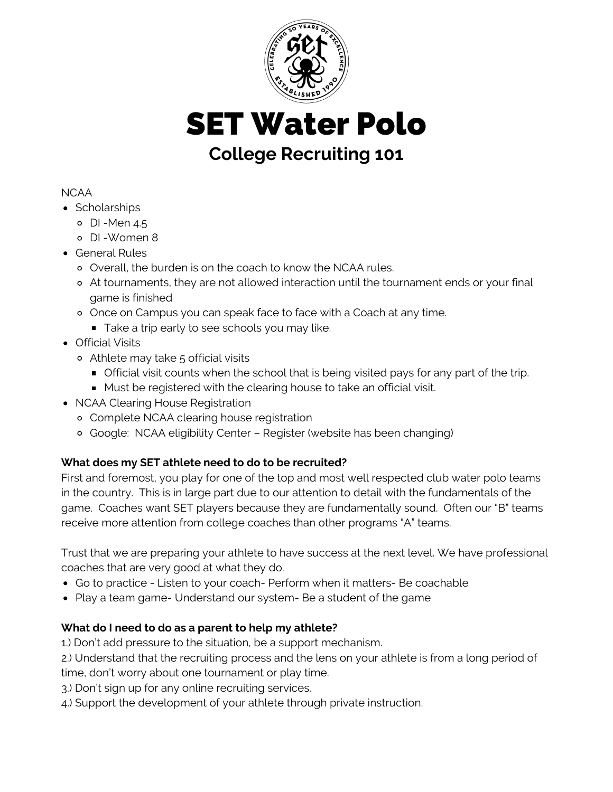

SET Water Polo

# **College Recruiting 101**

#### NCAA

- Scholarships
	- o DI-Men 4.5
	- DI -Women 8
- General Rules
	- Overall, the burden is on the coach to know the NCAA rules.
	- At tournaments, they are not allowed interaction until the tournament ends or your final game is finished
	- o Once on Campus you can speak face to face with a Coach at any time.
	- Take a trip early to see schools you may like.
- Official Visits
	- Athlete may take 5 official visits
		- **Official visit counts when the school that is being visited pays for any part of the trip.**
		- **Must be registered with the clearing house to take an official visit.**
- NCAA Clearing House Registration
	- Complete NCAA clearing house registration
	- Google: NCAA eligibility Center Register (website has been changing)

## **What does my SET athlete need to do to be recruited?**

First and foremost, you play for one of the top and most well respected club water polo teams in the country. This is in large part due to our attention to detail with the fundamentals of the game. Coaches want SET players because they are fundamentally sound. Often our "B" teams receive more attention from college coaches than other programs "A" teams.

Trust that we are preparing your athlete to have success at the next level. We have professional coaches that are very good at what they do.

- Go to practice Listen to your coach- Perform when it matters- Be coachable
- Play a team game- Understand our system- Be a student of the game

## **What do I need to do as a parent to help my athlete?**

1.) Don't add pressure to the situation, be a support mechanism.

2.) Understand that the recruiting process and the lens on your athlete is from a long period of time, don't worry about one tournament or play time.

3.) Don't sign up for any online recruiting services.

4.) Support the development of your athlete through private instruction.